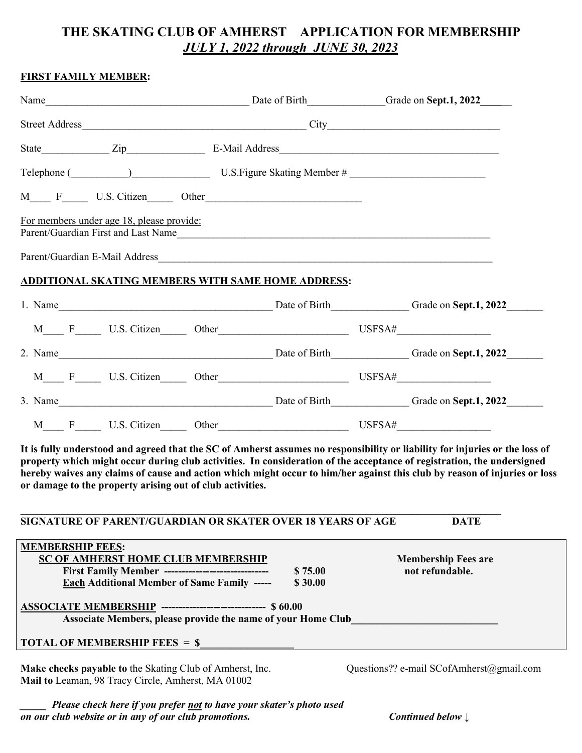# **THE SKATING CLUB OF AMHERST APPLICATION FOR MEMBERSHIP**  *JULY 1, 2022 through JUNE 30, 2023*

| <b>FIRST FAMILY MEMBER:</b> |                                                                                                                                                                                                                                     |                                                                                                                                                                                                                                |                                                                                      |  |                            |  |
|-----------------------------|-------------------------------------------------------------------------------------------------------------------------------------------------------------------------------------------------------------------------------------|--------------------------------------------------------------------------------------------------------------------------------------------------------------------------------------------------------------------------------|--------------------------------------------------------------------------------------|--|----------------------------|--|
|                             | Name <b>Mame</b> Consequently 2022 Consequently 2022 Consequently 2022 Consequently 2022 Consequently 2022 Consequently 2022 Consequently 2022 Consequently 2022 Consequently 2022 Consequently 2022 Consequently 2022 Consequently |                                                                                                                                                                                                                                |                                                                                      |  |                            |  |
|                             |                                                                                                                                                                                                                                     |                                                                                                                                                                                                                                |                                                                                      |  |                            |  |
|                             |                                                                                                                                                                                                                                     |                                                                                                                                                                                                                                |                                                                                      |  |                            |  |
|                             |                                                                                                                                                                                                                                     | Telephone (Channel Communication Communication Communication Communication Communication Communication Communication Communication Communication Communication Communication Communication Communication Communication Communi |                                                                                      |  |                            |  |
|                             |                                                                                                                                                                                                                                     |                                                                                                                                                                                                                                |                                                                                      |  |                            |  |
|                             | For members under age 18, please provide:                                                                                                                                                                                           |                                                                                                                                                                                                                                | Parent/Guardian First and Last Name                                                  |  |                            |  |
|                             |                                                                                                                                                                                                                                     |                                                                                                                                                                                                                                |                                                                                      |  |                            |  |
|                             |                                                                                                                                                                                                                                     |                                                                                                                                                                                                                                | ADDITIONAL SKATING MEMBERS WITH SAME HOME ADDRESS:                                   |  |                            |  |
|                             |                                                                                                                                                                                                                                     |                                                                                                                                                                                                                                | 1. Name Grade on Sept.1, 2022                                                        |  |                            |  |
|                             |                                                                                                                                                                                                                                     |                                                                                                                                                                                                                                |                                                                                      |  |                            |  |
|                             |                                                                                                                                                                                                                                     |                                                                                                                                                                                                                                | 2. Name Case of Birth Case of Birth Case of Birth Case of Birth Case on Sept.1, 2022 |  |                            |  |
|                             |                                                                                                                                                                                                                                     |                                                                                                                                                                                                                                |                                                                                      |  |                            |  |
|                             |                                                                                                                                                                                                                                     |                                                                                                                                                                                                                                | 3. Name Date of Birth Grade on Sept.1, 2022                                          |  |                            |  |
| M<br>$\mathbf{F}$           | U.S. Citizen                                                                                                                                                                                                                        |                                                                                                                                                                                                                                | Other                                                                                |  | $\overline{\text{USFSA#}}$ |  |

**It is fully understood and agreed that the SC of Amherst assumes no responsibility or liability for injuries or the loss of property which might occur during club activities. In consideration of the acceptance of registration, the undersigned hereby waives any claims of cause and action which might occur to him/her against this club by reason of injuries or loss or damage to the property arising out of club activities.** 

| SIGNATURE OF PARENT/GUARDIAN OR SKATER OVER 18 YEARS OF AGE                                                                                                                              |                    | <b>DATE</b>                                   |  |  |  |  |
|------------------------------------------------------------------------------------------------------------------------------------------------------------------------------------------|--------------------|-----------------------------------------------|--|--|--|--|
| <b>MEMBERSHIP FEES:</b><br><b>SC OF AMHERST HOME CLUB MEMBERSHIP</b><br><b>First Family Member -------------------------------</b><br><b>Each Additional Member of Same Family -----</b> | \$75.00<br>\$30.00 | <b>Membership Fees are</b><br>not refundable. |  |  |  |  |
| ASSOCIATE MEMBERSHIP -------------------------------- \$60.00<br>Associate Members, please provide the name of your Home Club                                                            |                    |                                               |  |  |  |  |
| <b>TOTAL OF MEMBERSHIP FEES = \$</b><br>Make checks payable to the Skating Club of Amherst, Inc.<br>Mail to Leaman, 98 Tracy Circle, Amherst, MA 01002                                   |                    | Questions?? e-mail SCofAmherst@gmail.com      |  |  |  |  |

*Please check here if you prefer not to have your skater's photo used on our club website or in any of our club promotions. Continued below* **↓**